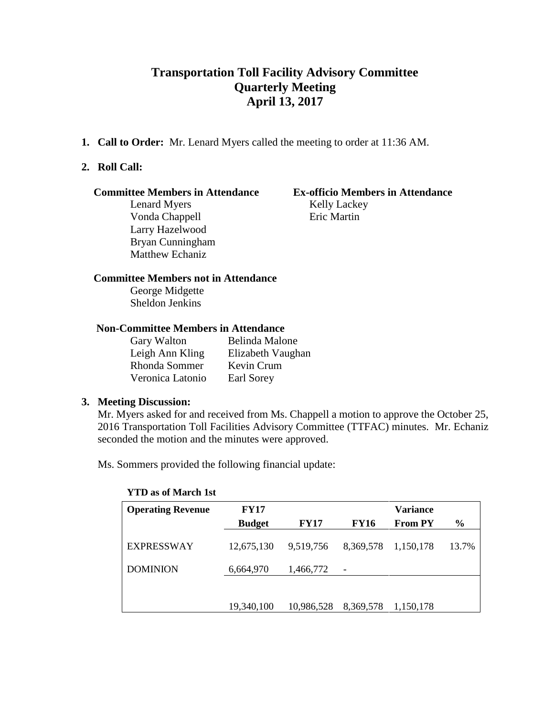# **Transportation Toll Facility Advisory Committee Quarterly Meeting April 13, 2017**

**1. Call to Order:** Mr. Lenard Myers called the meeting to order at 11:36 AM.

# **2. Roll Call:**

#### **Committee Members in Attendance Ex-officio Members in Attendance**

Lenard Myers Kelly Lackey Vonda Chappell **Eric Martin** Larry Hazelwood Bryan Cunningham Matthew Echaniz

## **Committee Members not in Attendance**

George Midgette Sheldon Jenkins

# **Non-Committee Members in Attendance**

| Gary Walton      | Belinda Malone    |
|------------------|-------------------|
| Leigh Ann Kling  | Elizabeth Vaughan |
| Rhonda Sommer    | Kevin Crum        |
| Veronica Latonio | Earl Sorey        |

# **3. Meeting Discussion:**

Mr. Myers asked for and received from Ms. Chappell a motion to approve the October 25, 2016 Transportation Toll Facilities Advisory Committee (TTFAC) minutes. Mr. Echaniz seconded the motion and the minutes were approved.

Ms. Sommers provided the following financial update:

| <b>Operating Revenue</b> | <b>FY17</b>   |             |                          | <b>Variance</b> |               |
|--------------------------|---------------|-------------|--------------------------|-----------------|---------------|
|                          | <b>Budget</b> | <b>FY17</b> | <b>FY16</b>              | <b>From PY</b>  | $\frac{6}{9}$ |
| <b>EXPRESSWAY</b>        | 12,675,130    | 9,519,756   | 8,369,578                | 1,150,178       | 13.7%         |
| <b>DOMINION</b>          | 6,664,970     | 1,466,772   | $\overline{\phantom{a}}$ |                 |               |
|                          |               |             |                          |                 |               |
|                          | 19,340,100    | 10,986,528  | 8,369,578                | 1,150,178       |               |

**YTD as of March 1st**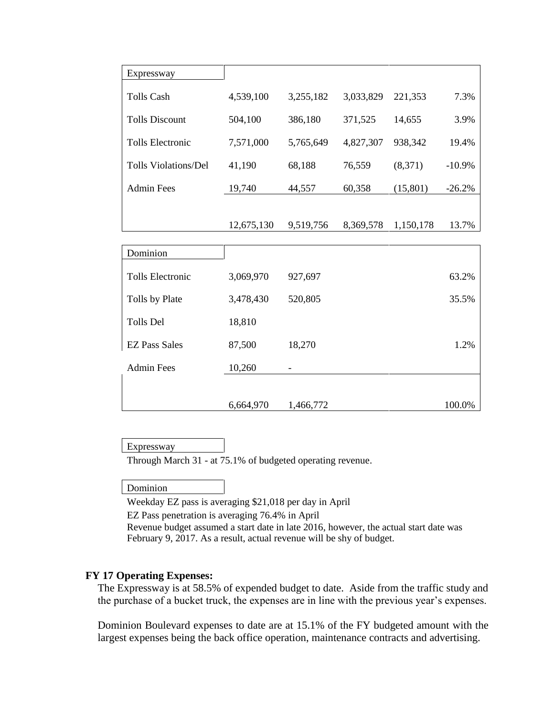| Expressway                  |            |           |           |           |          |
|-----------------------------|------------|-----------|-----------|-----------|----------|
| <b>Tolls Cash</b>           | 4,539,100  | 3,255,182 | 3,033,829 | 221,353   | 7.3%     |
| <b>Tolls Discount</b>       | 504,100    | 386,180   | 371,525   | 14,655    | 3.9%     |
| <b>Tolls Electronic</b>     | 7,571,000  | 5,765,649 | 4,827,307 | 938,342   | 19.4%    |
| <b>Tolls Violations/Del</b> | 41,190     | 68,188    | 76,559    | (8,371)   | $-10.9%$ |
| <b>Admin Fees</b>           | 19,740     | 44,557    | 60,358    | (15, 801) | $-26.2%$ |
|                             |            |           |           |           |          |
|                             | 12,675,130 | 9,519,756 | 8,369,578 | 1,150,178 | 13.7%    |
|                             |            |           |           |           |          |
| Dominion                    |            |           |           |           |          |
| <b>Tolls Electronic</b>     | 3,069,970  | 927,697   |           |           | 63.2%    |
| Tolls by Plate              | 3,478,430  | 520,805   |           |           | 35.5%    |
| Tolls Del                   | 18,810     |           |           |           |          |
| <b>EZ Pass Sales</b>        | 87,500     | 18,270    |           |           | 1.2%     |
| <b>Admin Fees</b>           | 10,260     |           |           |           |          |
|                             |            |           |           |           |          |

#### Expressway

Through March 31 - at 75.1% of budgeted operating revenue.

6,664,970

#### Dominion

Weekday EZ pass is averaging \$21,018 per day in April

EZ Pass penetration is averaging 76.4% in April

Revenue budget assumed a start date in late 2016, however, the actual start date was February 9, 2017. As a result, actual revenue will be shy of budget.

1,466,772 100.0%

#### **FY 17 Operating Expenses:**

The Expressway is at 58.5% of expended budget to date. Aside from the traffic study and the purchase of a bucket truck, the expenses are in line with the previous year's expenses.

Dominion Boulevard expenses to date are at 15.1% of the FY budgeted amount with the largest expenses being the back office operation, maintenance contracts and advertising.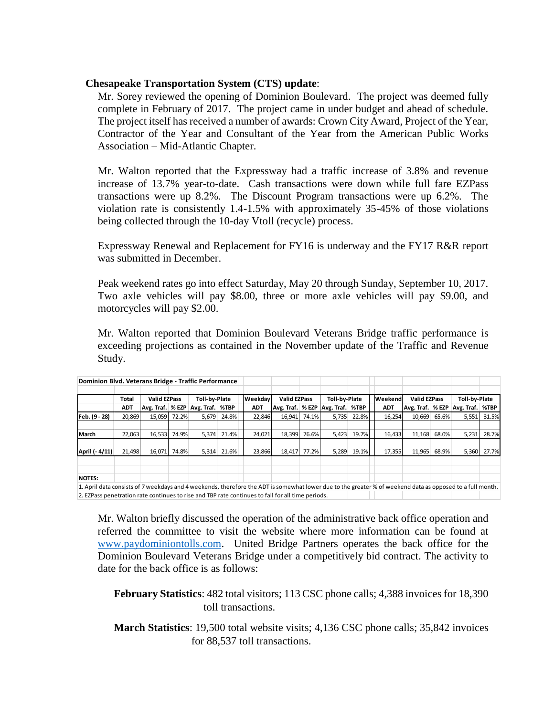### **Chesapeake Transportation System (CTS) update**:

Mr. Sorey reviewed the opening of Dominion Boulevard. The project was deemed fully complete in February of 2017. The project came in under budget and ahead of schedule. The project itself has received a number of awards: Crown City Award, Project of the Year, Contractor of the Year and Consultant of the Year from the American Public Works Association – Mid-Atlantic Chapter.

Mr. Walton reported that the Expressway had a traffic increase of 3.8% and revenue increase of 13.7% year-to-date. Cash transactions were down while full fare EZPass transactions were up 8.2%. The Discount Program transactions were up 6.2%. The violation rate is consistently 1.4-1.5% with approximately 35-45% of those violations being collected through the 10-day Vtoll (recycle) process.

Expressway Renewal and Replacement for FY16 is underway and the FY17 R&R report was submitted in December.

Peak weekend rates go into effect Saturday, May 20 through Sunday, September 10, 2017. Two axle vehicles will pay \$8.00, three or more axle vehicles will pay \$9.00, and motorcycles will pay \$2.00.

Mr. Walton reported that Dominion Boulevard Veterans Bridge traffic performance is exceeding projections as contained in the November update of the Traffic and Revenue Study.

| Dominion Blvd. Veterans Bridge - Traffic Performance                                                                                                      |            |                     |       |                                        |       |            |                     |       |                                        |       |            |                     |       |                                        |       |
|-----------------------------------------------------------------------------------------------------------------------------------------------------------|------------|---------------------|-------|----------------------------------------|-------|------------|---------------------|-------|----------------------------------------|-------|------------|---------------------|-------|----------------------------------------|-------|
|                                                                                                                                                           |            |                     |       |                                        |       |            |                     |       |                                        |       |            |                     |       |                                        |       |
|                                                                                                                                                           | Total      | <b>Valid EZPass</b> |       | Toll-by-Plate                          |       | Weekdav    | <b>Valid EZPass</b> |       | Toll-by-Plate                          |       | Weekend    | <b>Valid EZPass</b> |       | Toll-by-Plate                          |       |
|                                                                                                                                                           | <b>ADT</b> |                     |       | Avg. Traf.   % EZP   Avg. Traf.   %TBP |       | <b>ADT</b> |                     |       | Avg. Traf.   % EZP   Avg. Traf.   %TBP |       | <b>ADT</b> |                     |       | Avg. Traf.   % EZP   Avg. Traf.   %TBP |       |
| Feb. (9 - 28)                                                                                                                                             | 20.869     | 15.059              | 72.2% | 5.679                                  | 24.8% | 22.846     | 16.941              | 74.1% | 5.735                                  | 22.8% | 16.254     | 10.669              | 65.6% | 5,551                                  | 31.5% |
|                                                                                                                                                           |            |                     |       |                                        |       |            |                     |       |                                        |       |            |                     |       |                                        |       |
| March                                                                                                                                                     | 22,063     | 16.533              | 74.9% | 5.374                                  | 21.4% | 24.021     | 18,399              | 76.6% | 5.423                                  | 19.7% | 16,433     | 11,168              | 68.0% | 5,231                                  | 28.7% |
|                                                                                                                                                           |            |                     |       |                                        |       |            |                     |       |                                        |       |            |                     |       |                                        |       |
| April (- 4/11)                                                                                                                                            | 21,498     | 16.071              | 74.8% | 5.314                                  | 21.6% | 23,866     | 18.417              | 77.2% | 5,289                                  | 19.1% | 17,355     | 11,965              | 68.9% | 5,360                                  | 27.7% |
|                                                                                                                                                           |            |                     |       |                                        |       |            |                     |       |                                        |       |            |                     |       |                                        |       |
|                                                                                                                                                           |            |                     |       |                                        |       |            |                     |       |                                        |       |            |                     |       |                                        |       |
| <b>NOTES:</b>                                                                                                                                             |            |                     |       |                                        |       |            |                     |       |                                        |       |            |                     |       |                                        |       |
| 1. April data consists of 7 weekdays and 4 weekends, therefore the ADT is somewhat lower due to the greater % of weekend data as opposed to a full month. |            |                     |       |                                        |       |            |                     |       |                                        |       |            |                     |       |                                        |       |

Mr. Walton briefly discussed the operation of the administrative back office operation and 2. EZPass penetration rate continues to rise and TBP rate continues to fall for all time periods.

referred the committee to visit the website where more information can be found at www.paydominiontolls.com. United Bridge Partners operates the back office for the Dominion Boulevard Veterans Bridge under a competitively bid contract. The activity to date for the back office is as follows:

**February Statistics**: 482 total visitors; 113 CSC phone calls; 4,388 invoices for 18,390 toll transactions.

**March Statistics**: 19,500 total website visits; 4,136 CSC phone calls; 35,842 invoices for 88,537 toll transactions.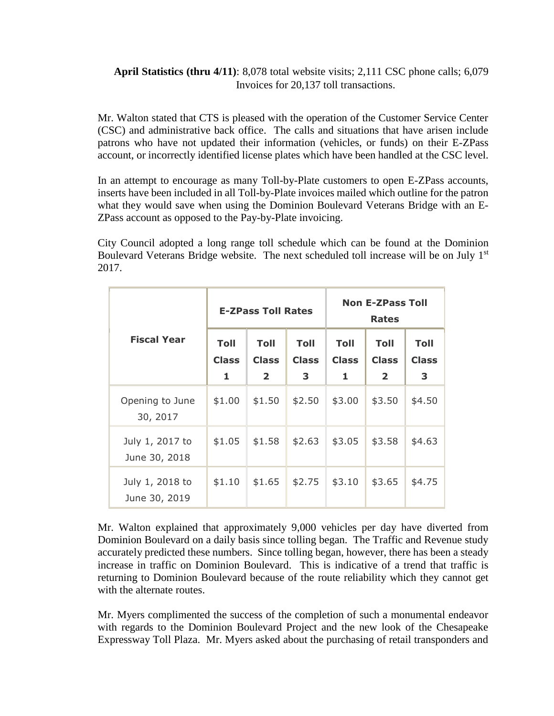# **April Statistics (thru 4/11)**: 8,078 total website visits; 2,111 CSC phone calls; 6,079 Invoices for 20,137 toll transactions.

Mr. Walton stated that CTS is pleased with the operation of the Customer Service Center (CSC) and administrative back office. The calls and situations that have arisen include patrons who have not updated their information (vehicles, or funds) on their E-ZPass account, or incorrectly identified license plates which have been handled at the CSC level.

In an attempt to encourage as many Toll-by-Plate customers to open E-ZPass accounts, inserts have been included in all Toll-by-Plate invoices mailed which outline for the patron what they would save when using the Dominion Boulevard Veterans Bridge with an E-ZPass account as opposed to the Pay-by-Plate invoicing.

City Council adopted a long range toll schedule which can be found at the Dominion Boulevard Veterans Bridge website. The next scheduled toll increase will be on July 1<sup>st</sup> 2017.

|                                  |                                                                                    | <b>E-ZPass Toll Rates</b> |                                  | <b>Non E-ZPass Toll</b><br><b>Rates</b> |                                                        |                                  |  |
|----------------------------------|------------------------------------------------------------------------------------|---------------------------|----------------------------------|-----------------------------------------|--------------------------------------------------------|----------------------------------|--|
| <b>Fiscal Year</b>               | <b>Toll</b><br><b>Toll</b><br><b>Class</b><br><b>Class</b><br>$\overline{2}$<br>1. |                           | <b>Toll</b><br><b>Class</b><br>3 | <b>Toll</b><br><b>Class</b><br>1        | <b>Toll</b><br><b>Class</b><br>$\overline{\mathbf{2}}$ | <b>Toll</b><br><b>Class</b><br>3 |  |
| Opening to June<br>30, 2017      | \$1.00                                                                             | \$1.50                    | \$2.50                           | \$3.00                                  | \$3.50                                                 | \$4.50                           |  |
| July 1, 2017 to<br>June 30, 2018 | \$1.05                                                                             | \$1.58                    | \$2.63                           | \$3.05                                  | \$3.58                                                 | \$4.63                           |  |
| July 1, 2018 to<br>June 30, 2019 | \$1.10                                                                             | \$1.65                    | \$2.75                           | \$3.10                                  | \$3.65                                                 | \$4.75                           |  |

Mr. Walton explained that approximately 9,000 vehicles per day have diverted from Dominion Boulevard on a daily basis since tolling began. The Traffic and Revenue study accurately predicted these numbers. Since tolling began, however, there has been a steady increase in traffic on Dominion Boulevard. This is indicative of a trend that traffic is returning to Dominion Boulevard because of the route reliability which they cannot get with the alternate routes.

Mr. Myers complimented the success of the completion of such a monumental endeavor with regards to the Dominion Boulevard Project and the new look of the Chesapeake Expressway Toll Plaza. Mr. Myers asked about the purchasing of retail transponders and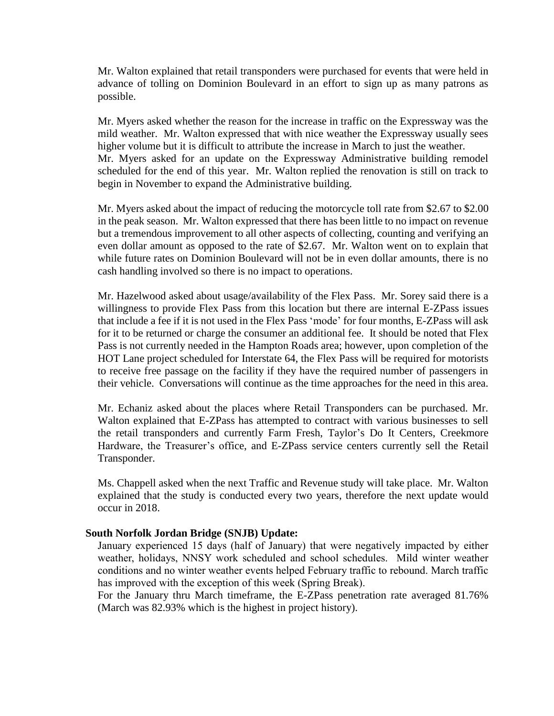Mr. Walton explained that retail transponders were purchased for events that were held in advance of tolling on Dominion Boulevard in an effort to sign up as many patrons as possible.

Mr. Myers asked whether the reason for the increase in traffic on the Expressway was the mild weather. Mr. Walton expressed that with nice weather the Expressway usually sees higher volume but it is difficult to attribute the increase in March to just the weather. Mr. Myers asked for an update on the Expressway Administrative building remodel scheduled for the end of this year. Mr. Walton replied the renovation is still on track to begin in November to expand the Administrative building.

Mr. Myers asked about the impact of reducing the motorcycle toll rate from \$2.67 to \$2.00 in the peak season. Mr. Walton expressed that there has been little to no impact on revenue but a tremendous improvement to all other aspects of collecting, counting and verifying an even dollar amount as opposed to the rate of \$2.67. Mr. Walton went on to explain that while future rates on Dominion Boulevard will not be in even dollar amounts, there is no cash handling involved so there is no impact to operations.

Mr. Hazelwood asked about usage/availability of the Flex Pass. Mr. Sorey said there is a willingness to provide Flex Pass from this location but there are internal E-ZPass issues that include a fee if it is not used in the Flex Pass 'mode' for four months, E-ZPass will ask for it to be returned or charge the consumer an additional fee. It should be noted that Flex Pass is not currently needed in the Hampton Roads area; however, upon completion of the HOT Lane project scheduled for Interstate 64, the Flex Pass will be required for motorists to receive free passage on the facility if they have the required number of passengers in their vehicle. Conversations will continue as the time approaches for the need in this area.

Mr. Echaniz asked about the places where Retail Transponders can be purchased. Mr. Walton explained that E-ZPass has attempted to contract with various businesses to sell the retail transponders and currently Farm Fresh, Taylor's Do It Centers, Creekmore Hardware, the Treasurer's office, and E-ZPass service centers currently sell the Retail Transponder.

Ms. Chappell asked when the next Traffic and Revenue study will take place. Mr. Walton explained that the study is conducted every two years, therefore the next update would occur in 2018.

#### **South Norfolk Jordan Bridge (SNJB) Update:**

January experienced 15 days (half of January) that were negatively impacted by either weather, holidays, NNSY work scheduled and school schedules. Mild winter weather conditions and no winter weather events helped February traffic to rebound. March traffic has improved with the exception of this week (Spring Break).

For the January thru March timeframe, the E-ZPass penetration rate averaged 81.76% (March was 82.93% which is the highest in project history).